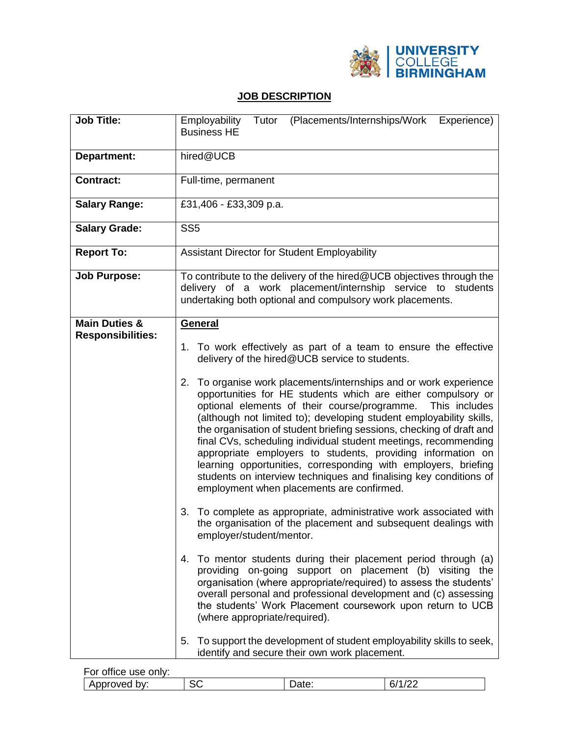

## **JOB DESCRIPTION**

| Job Title:                                           | (Placements/Internships/Work<br>Employability<br>Tutor<br>Experience)<br><b>Business HE</b>                                                                                                                                                                                                                                                                                                                                                                                                                                                                                                                                                                                                                                                                                                                                                                                                                                                                                                                                                                                                                                                                                                                                                                                                                                                                                                                                                                                               |  |  |
|------------------------------------------------------|-------------------------------------------------------------------------------------------------------------------------------------------------------------------------------------------------------------------------------------------------------------------------------------------------------------------------------------------------------------------------------------------------------------------------------------------------------------------------------------------------------------------------------------------------------------------------------------------------------------------------------------------------------------------------------------------------------------------------------------------------------------------------------------------------------------------------------------------------------------------------------------------------------------------------------------------------------------------------------------------------------------------------------------------------------------------------------------------------------------------------------------------------------------------------------------------------------------------------------------------------------------------------------------------------------------------------------------------------------------------------------------------------------------------------------------------------------------------------------------------|--|--|
| <b>Department:</b>                                   | hired@UCB                                                                                                                                                                                                                                                                                                                                                                                                                                                                                                                                                                                                                                                                                                                                                                                                                                                                                                                                                                                                                                                                                                                                                                                                                                                                                                                                                                                                                                                                                 |  |  |
| <b>Contract:</b>                                     | Full-time, permanent                                                                                                                                                                                                                                                                                                                                                                                                                                                                                                                                                                                                                                                                                                                                                                                                                                                                                                                                                                                                                                                                                                                                                                                                                                                                                                                                                                                                                                                                      |  |  |
| <b>Salary Range:</b>                                 | £31,406 - £33,309 p.a.                                                                                                                                                                                                                                                                                                                                                                                                                                                                                                                                                                                                                                                                                                                                                                                                                                                                                                                                                                                                                                                                                                                                                                                                                                                                                                                                                                                                                                                                    |  |  |
| <b>Salary Grade:</b>                                 | SS <sub>5</sub>                                                                                                                                                                                                                                                                                                                                                                                                                                                                                                                                                                                                                                                                                                                                                                                                                                                                                                                                                                                                                                                                                                                                                                                                                                                                                                                                                                                                                                                                           |  |  |
| <b>Report To:</b>                                    | Assistant Director for Student Employability                                                                                                                                                                                                                                                                                                                                                                                                                                                                                                                                                                                                                                                                                                                                                                                                                                                                                                                                                                                                                                                                                                                                                                                                                                                                                                                                                                                                                                              |  |  |
| <b>Job Purpose:</b>                                  | To contribute to the delivery of the hired@UCB objectives through the<br>delivery of a work placement/internship service to students<br>undertaking both optional and compulsory work placements.                                                                                                                                                                                                                                                                                                                                                                                                                                                                                                                                                                                                                                                                                                                                                                                                                                                                                                                                                                                                                                                                                                                                                                                                                                                                                         |  |  |
| <b>Main Duties &amp;</b><br><b>Responsibilities:</b> | General<br>1. To work effectively as part of a team to ensure the effective<br>delivery of the hired@UCB service to students.<br>To organise work placements/internships and or work experience<br>2.<br>opportunities for HE students which are either compulsory or<br>optional elements of their course/programme.<br>This includes<br>(although not limited to); developing student employability skills,<br>the organisation of student briefing sessions, checking of draft and<br>final CVs, scheduling individual student meetings, recommending<br>appropriate employers to students, providing information on<br>learning opportunities, corresponding with employers, briefing<br>students on interview techniques and finalising key conditions of<br>employment when placements are confirmed.<br>To complete as appropriate, administrative work associated with<br>3.<br>the organisation of the placement and subsequent dealings with<br>employer/student/mentor.<br>To mentor students during their placement period through (a)<br>4.<br>providing on-going support on placement (b) visiting the<br>organisation (where appropriate/required) to assess the students'<br>overall personal and professional development and (c) assessing<br>the students' Work Placement coursework upon return to UCB<br>(where appropriate/required).<br>To support the development of student employability skills to seek,<br>5.<br>identify and secure their own work placement. |  |  |

| For office use only: |           |       |    |
|----------------------|-----------|-------|----|
| Approved by:         | n.n<br>5U | Date: | 67 |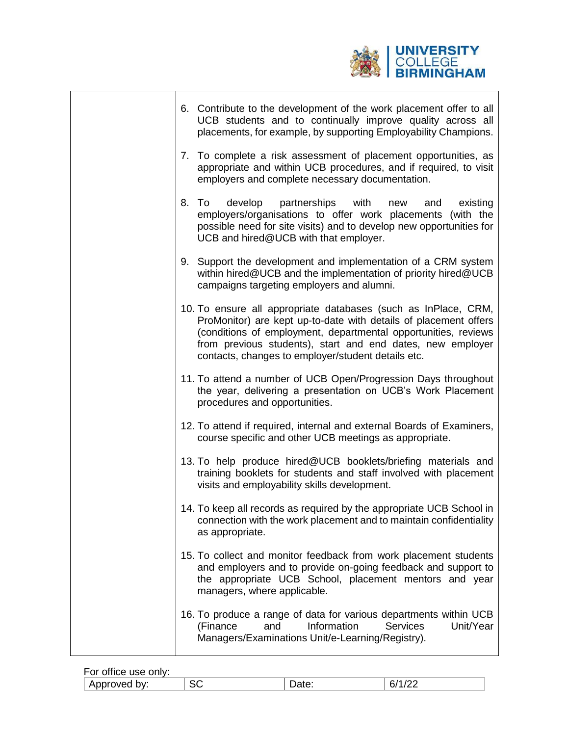

ī

| 6. Contribute to the development of the work placement offer to all<br>UCB students and to continually improve quality across all<br>placements, for example, by supporting Employability Champions.                                                                                                                     |
|--------------------------------------------------------------------------------------------------------------------------------------------------------------------------------------------------------------------------------------------------------------------------------------------------------------------------|
| 7. To complete a risk assessment of placement opportunities, as<br>appropriate and within UCB procedures, and if required, to visit<br>employers and complete necessary documentation.                                                                                                                                   |
| develop<br>partnerships with<br>8. To<br>existing<br>new<br>and<br>employers/organisations to offer work placements (with the<br>possible need for site visits) and to develop new opportunities for<br>UCB and hired@UCB with that employer.                                                                            |
| 9. Support the development and implementation of a CRM system<br>within hired@UCB and the implementation of priority hired@UCB<br>campaigns targeting employers and alumni.                                                                                                                                              |
| 10. To ensure all appropriate databases (such as InPlace, CRM,<br>ProMonitor) are kept up-to-date with details of placement offers<br>(conditions of employment, departmental opportunities, reviews<br>from previous students), start and end dates, new employer<br>contacts, changes to employer/student details etc. |
| 11. To attend a number of UCB Open/Progression Days throughout<br>the year, delivering a presentation on UCB's Work Placement<br>procedures and opportunities.                                                                                                                                                           |
| 12. To attend if required, internal and external Boards of Examiners,<br>course specific and other UCB meetings as appropriate.                                                                                                                                                                                          |
| 13. To help produce hired@UCB booklets/briefing materials and<br>training booklets for students and staff involved with placement<br>visits and employability skills development.                                                                                                                                        |
| 14. To keep all records as required by the appropriate UCB School in<br>connection with the work placement and to maintain confidentiality<br>as appropriate.                                                                                                                                                            |
| 15. To collect and monitor feedback from work placement students<br>and employers and to provide on-going feedback and support to<br>the appropriate UCB School, placement mentors and year<br>managers, where applicable.                                                                                               |
| 16. To produce a range of data for various departments within UCB<br>Information<br><b>Services</b><br>Unit/Year<br>(Finance<br>and<br>Managers/Examinations Unit/e-Learning/Registry).                                                                                                                                  |

 $\mathbf{r}$ 

| For office use only: |          |       |    |
|----------------------|----------|-------|----|
| Approved by:         | ~~<br>5Č | Dalo. | b, |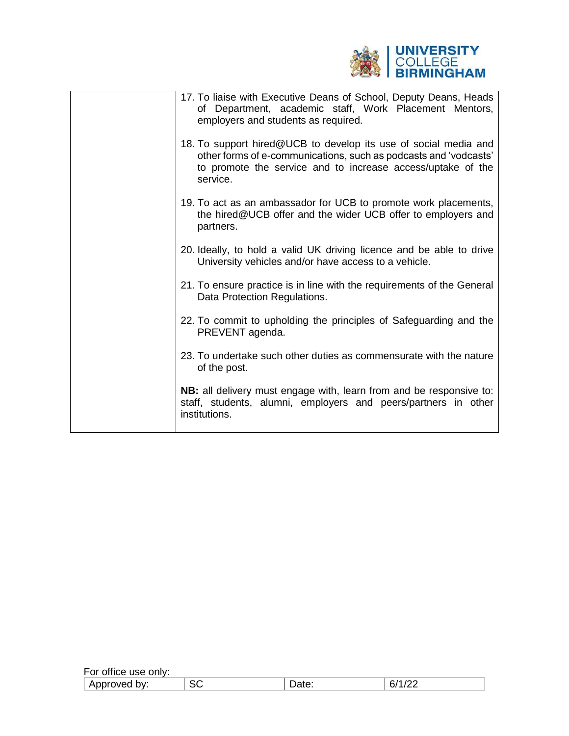

| 17. To liaise with Executive Deans of School, Deputy Deans, Heads<br>of Department, academic staff, Work Placement Mentors,<br>employers and students as required.                                             |
|----------------------------------------------------------------------------------------------------------------------------------------------------------------------------------------------------------------|
| 18. To support hired@UCB to develop its use of social media and<br>other forms of e-communications, such as podcasts and 'vodcasts'<br>to promote the service and to increase access/uptake of the<br>service. |
| 19. To act as an ambassador for UCB to promote work placements,<br>the hired@UCB offer and the wider UCB offer to employers and<br>partners.                                                                   |
| 20. Ideally, to hold a valid UK driving licence and be able to drive<br>University vehicles and/or have access to a vehicle.                                                                                   |
| 21. To ensure practice is in line with the requirements of the General<br>Data Protection Regulations.                                                                                                         |
| 22. To commit to upholding the principles of Safeguarding and the<br>PREVENT agenda.                                                                                                                           |
| 23. To undertake such other duties as commensurate with the nature<br>of the post.                                                                                                                             |
| NB: all delivery must engage with, learn from and be responsive to:<br>staff, students, alumni, employers and peers/partners in other<br>institutions.                                                         |

| <br>For<br>∵office use onl∨: |              |       |                                    |
|------------------------------|--------------|-------|------------------------------------|
| Approved<br>. pv:            | $\sim$<br>SС | υαισ. | $\sqrt{2}$<br>C.<br>υ<br><u>__</u> |